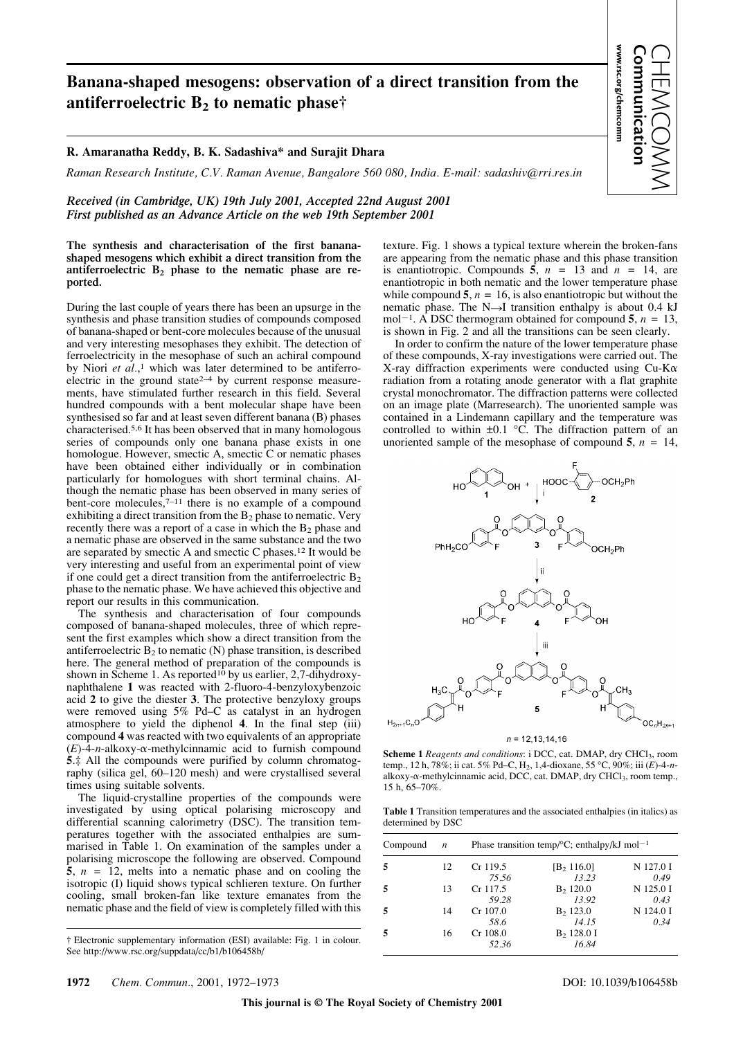## **Banana-shaped mesogens: observation of a direct transition from the antiferroelectric B2 to nematic phase†**

## **R. Amaranatha Reddy, B. K. Sadashiva\* and Surajit Dhara**

*Raman Research Institute, C.V. Raman Avenue, Bangalore 560 080, India. E-mail: sadashiv@rri.res.in*

*Received (in Cambridge, UK) 19th July 2001, Accepted 22nd August 2001 First published as an Advance Article on the web 19th September 2001*

**The synthesis and characterisation of the first bananashaped mesogens which exhibit a direct transition from the** antiferroelectric B<sub>2</sub> phase to the nematic phase are re**ported.**

During the last couple of years there has been an upsurge in the synthesis and phase transition studies of compounds composed of banana-shaped or bent-core molecules because of the unusual and very interesting mesophases they exhibit. The detection of ferroelectricity in the mesophase of such an achiral compound by Niori *et al.*,<sup>1</sup> which was later determined to be antiferroelectric in the ground state $2-4$  by current response measurements, have stimulated further research in this field. Several hundred compounds with a bent molecular shape have been synthesised so far and at least seven different banana (B) phases characterised.5,6 It has been observed that in many homologous series of compounds only one banana phase exists in one homologue. However, smectic A, smectic C or nematic phases have been obtained either individually or in combination particularly for homologues with short terminal chains. Although the nematic phase has been observed in many series of bent-core molecules, $7^{-11}$  there is no example of a compound exhibiting a direct transition from the  $B_2$  phase to nematic. Very recently there was a report of a case in which the  $B_2$  phase and a nematic phase are observed in the same substance and the two are separated by smectic A and smectic C phases.12 It would be very interesting and useful from an experimental point of view if one could get a direct transition from the antiferroelectric  $B_2$ phase to the nematic phase. We have achieved this objective and report our results in this communication.

The synthesis and characterisation of four compounds composed of banana-shaped molecules, three of which represent the first examples which show a direct transition from the antiferroelectric  $B_2$  to nematic (N) phase transition, is described here. The general method of preparation of the compounds is shown in Scheme 1. As reported<sup>10</sup> by us earlier, 2,7-dihydroxynaphthalene **1** was reacted with 2-fluoro-4-benzyloxybenzoic acid **2** to give the diester **3**. The protective benzyloxy groups were removed using 5% Pd–C as catalyst in an hydrogen atmosphere to yield the diphenol **4**. In the final step (iii) compound **4** was reacted with two equivalents of an appropriate  $(E)$ -4-*n*-alkoxy- $\alpha$ -methylcinnamic acid to furnish compound **5**.‡ All the compounds were purified by column chromatography (silica gel, 60–120 mesh) and were crystallised several times using suitable solvents.

The liquid-crystalline properties of the compounds were investigated by using optical polarising microscopy and differential scanning calorimetry (DSC). The transition temperatures together with the associated enthalpies are summarised in Table 1. On examination of the samples under a polarising microscope the following are observed. Compound  $\bar{\bf{5}}$ ,  $n = 12$ , melts into a nematic phase and on cooling the isotropic (I) liquid shows typical schlieren texture. On further cooling, small broken-fan like texture emanates from the nematic phase and the field of view is completely filled with this texture. Fig. 1 shows a typical texture wherein the broken-fans are appearing from the nematic phase and this phase transition is enantiotropic. Compounds  $\overline{5}$ ,  $n = 13$  and  $n = 14$ , are enantiotropic in both nematic and the lower temperature phase while compound  $5$ ,  $n = 16$ , is also enantiotropic but without the nematic phase. The  $N\rightarrow I$  transition enthalpy is about 0.4 kJ mol<sup>-1</sup>. A DSC thermogram obtained for compound **5**,  $n = 13$ , is shown in Fig. 2 and all the transitions can be seen clearly.

**www.rsc.org/chemcomm Communication** CHEMCOMM

www.rsc.org/chemcomm

In order to confirm the nature of the lower temperature phase of these compounds, X-ray investigations were carried out. The X-ray diffraction experiments were conducted using  $Cu$ -K $\alpha$ radiation from a rotating anode generator with a flat graphite crystal monochromator. The diffraction patterns were collected on an image plate (Marresearch). The unoriented sample was contained in a Lindemann capillary and the temperature was controlled to within  $\pm 0.1$  °C. The diffraction pattern of an unoriented sample of the mesophase of compound  $5$ ,  $n = 14$ ,



**Scheme 1** *Reagents and conditions*: i DCC, cat. DMAP, dry CHCl<sub>3</sub>, room temp., 12 h, 78%; ii cat. 5% Pd–C, H2, 1,4-dioxane, 55 °C, 90%; iii (*E*)-4-*n*alkoxy- $\alpha$ -methylcinnamic acid, DCC, cat. DMAP, dry CHCl<sub>3</sub>, room temp., 15 h, 65–70%.

**Table 1** Transition temperatures and the associated enthalpies (in italics) as determined by DSC

| Compound | $\boldsymbol{n}$ | Phase transition temp/ $\rm ^{\circ}C$ ; enthalpy/kJ mol <sup>-1</sup> |               |           |
|----------|------------------|------------------------------------------------------------------------|---------------|-----------|
|          | 12               | Cr 119.5                                                               | $[B_2 116.0]$ | N 127.0 I |
|          |                  | 75.56                                                                  | 13.23         | 0.49      |
|          | 13               | Cr 117.5                                                               | $B_2$ , 120.0 | N 125.0 I |
|          |                  | 59.28                                                                  | 13.92         | 0.43      |
|          | 14               | $Cr$ 107.0                                                             | $B_2$ 123.0   | N 124.0 I |
|          |                  | 58.6                                                                   | 14.15         | 0.34      |
|          | 16               | $Cr$ 108.0                                                             | $B_2$ 128.0 I |           |
|          |                  | 52.36                                                                  | 16.84         |           |

<sup>†</sup> Electronic supplementary information (ESI) available: Fig. 1 in colour. See http://www.rsc.org/suppdata/cc/b1/b106458b/